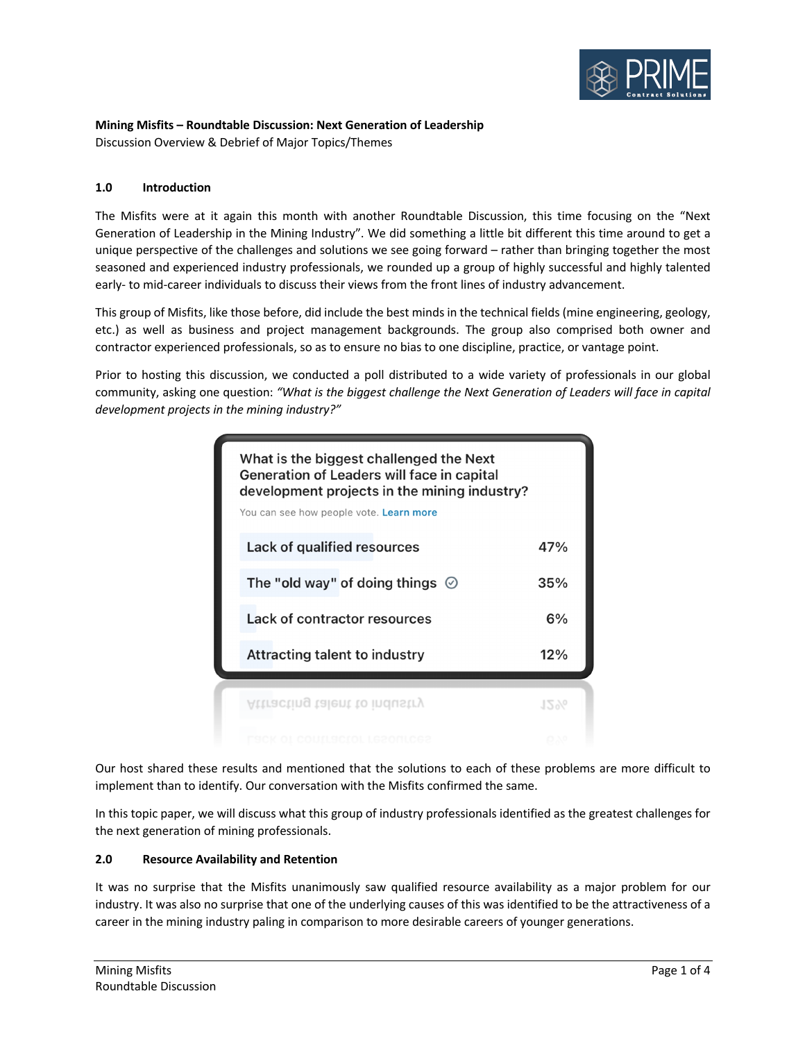

# **Mining Misfits – Roundtable Discussion: Next Generation of Leadership**

Discussion Overview & Debrief of Major Topics/Themes

# **1.0 Introduction**

The Misfits were at it again this month with another Roundtable Discussion, this time focusing on the "Next Generation of Leadership in the Mining Industry". We did something a little bit different this time around to get a unique perspective of the challenges and solutions we see going forward – rather than bringing together the most seasoned and experienced industry professionals, we rounded up a group of highly successful and highly talented early- to mid-career individuals to discuss their views from the front lines of industry advancement.

This group of Misfits, like those before, did include the best minds in the technical fields (mine engineering, geology, etc.) as well as business and project management backgrounds. The group also comprised both owner and contractor experienced professionals, so as to ensure no bias to one discipline, practice, or vantage point.

Prior to hosting this discussion, we conducted a poll distributed to a wide variety of professionals in our global community, asking one question: *"What is the biggest challenge the Next Generation of Leaders will face in capital development projects in the mining industry?"*

| What is the biggest challenged the Next<br><b>Generation of Leaders will face in capital</b><br>development projects in the mining industry?<br>You can see how people vote. Learn more |     |
|-----------------------------------------------------------------------------------------------------------------------------------------------------------------------------------------|-----|
| Lack of qualified resources                                                                                                                                                             | 47% |
| The "old way" of doing things $\oslash$                                                                                                                                                 | 35% |
| <b>Lack of contractor resources</b>                                                                                                                                                     | 6%  |
| Attracting talent to industry                                                                                                                                                           | 12% |
| Attracting talent to industry                                                                                                                                                           | 12% |
|                                                                                                                                                                                         |     |

Our host shared these results and mentioned that the solutions to each of these problems are more difficult to implement than to identify. Our conversation with the Misfits confirmed the same.

In this topic paper, we will discuss what this group of industry professionals identified as the greatest challenges for the next generation of mining professionals.

## **2.0 Resource Availability and Retention**

It was no surprise that the Misfits unanimously saw qualified resource availability as a major problem for our industry. It was also no surprise that one of the underlying causes of this was identified to be the attractiveness of a career in the mining industry paling in comparison to more desirable careers of younger generations.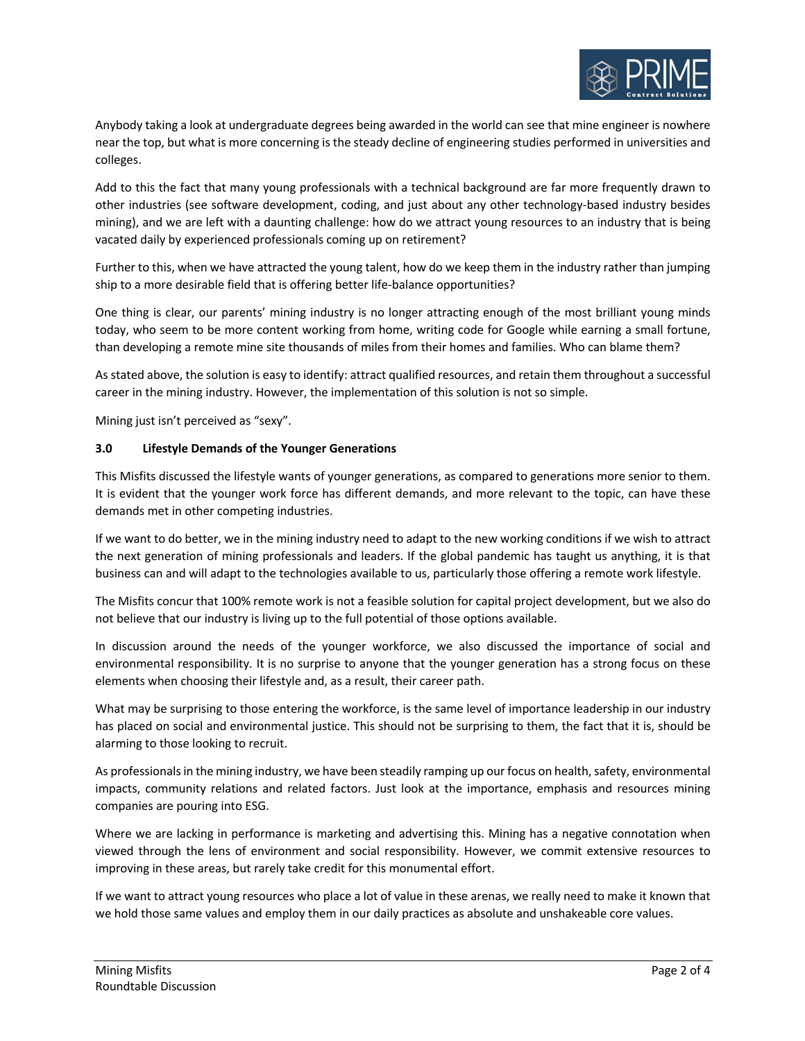

Anybody taking a look at undergraduate degrees being awarded in the world can see that mine engineer is nowhere near the top, but what is more concerning is the steady decline of engineering studies performed in universities and colleges.

Add to this the fact that many young professionals with a technical background are far more frequently drawn to other industries (see software development, coding, and just about any other technology-based industry besides mining), and we are left with a daunting challenge: how do we attract young resources to an industry that is being vacated daily by experienced professionals coming up on retirement?

Further to this, when we have attracted the young talent, how do we keep them in the industry rather than jumping ship to a more desirable field that is offering better life-balance opportunities?

One thing is clear, our parents' mining industry is no longer attracting enough of the most brilliant young minds today, who seem to be more content working from home, writing code for Google while earning a small fortune, than developing a remote mine site thousands of miles from their homes and families. Who can blame them?

As stated above, the solution is easy to identify: attract qualified resources, and retain them throughout a successful career in the mining industry. However, the implementation of this solution is not so simple.

Mining just isn't perceived as "sexy".

## **3.0 Lifestyle Demands of the Younger Generations**

This Misfits discussed the lifestyle wants of younger generations, as compared to generations more senior to them. It is evident that the younger work force has different demands, and more relevant to the topic, can have these demands met in other competing industries.

If we want to do better, we in the mining industry need to adapt to the new working conditions if we wish to attract the next generation of mining professionals and leaders. If the global pandemic has taught us anything, it is that business can and will adapt to the technologies available to us, particularly those offering a remote work lifestyle.

The Misfits concur that 100% remote work is not a feasible solution for capital project development, but we also do not believe that our industry is living up to the full potential of those options available.

In discussion around the needs of the younger workforce, we also discussed the importance of social and environmental responsibility. It is no surprise to anyone that the younger generation has a strong focus on these elements when choosing their lifestyle and, as a result, their career path.

What may be surprising to those entering the workforce, is the same level of importance leadership in our industry has placed on social and environmental justice. This should not be surprising to them, the fact that it is, should be alarming to those looking to recruit.

As professionals in the mining industry, we have been steadily ramping up our focus on health, safety, environmental impacts, community relations and related factors. Just look at the importance, emphasis and resources mining companies are pouring into ESG.

Where we are lacking in performance is marketing and advertising this. Mining has a negative connotation when viewed through the lens of environment and social responsibility. However, we commit extensive resources to improving in these areas, but rarely take credit for this monumental effort.

If we want to attract young resources who place a lot of value in these arenas, we really need to make it known that we hold those same values and employ them in our daily practices as absolute and unshakeable core values.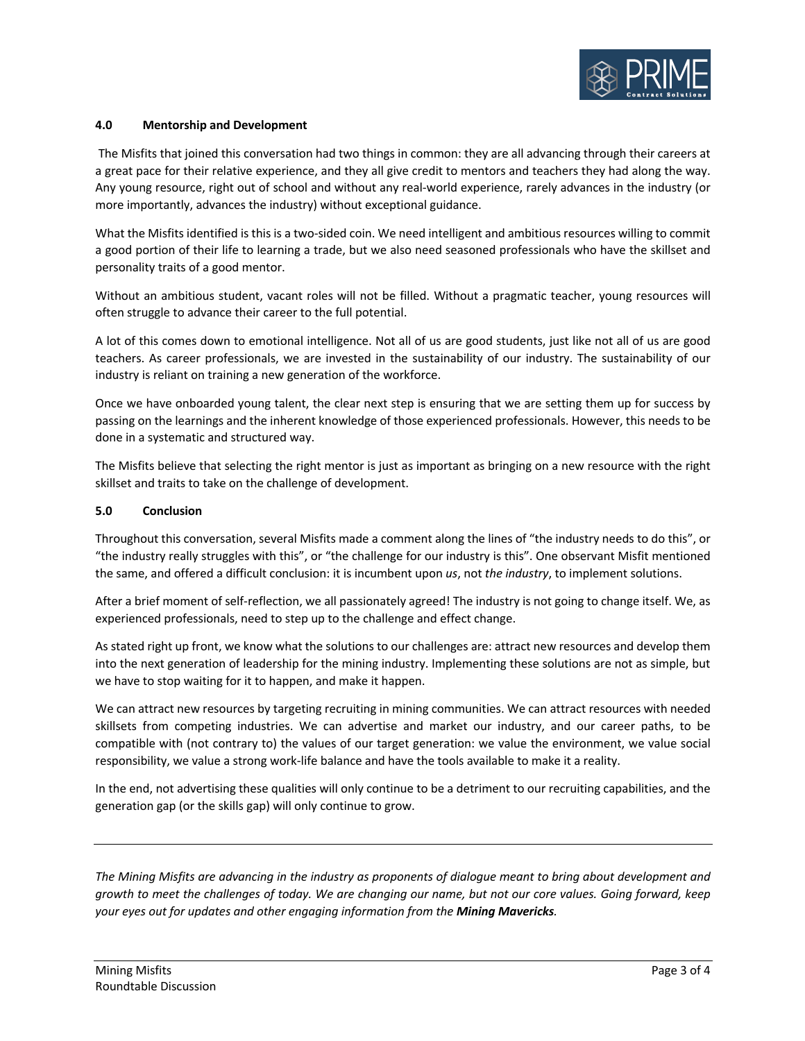

### **4.0 Mentorship and Development**

The Misfits that joined this conversation had two things in common: they are all advancing through their careers at a great pace for their relative experience, and they all give credit to mentors and teachers they had along the way. Any young resource, right out of school and without any real-world experience, rarely advances in the industry (or more importantly, advances the industry) without exceptional guidance.

What the Misfits identified is this is a two-sided coin. We need intelligent and ambitious resources willing to commit a good portion of their life to learning a trade, but we also need seasoned professionals who have the skillset and personality traits of a good mentor.

Without an ambitious student, vacant roles will not be filled. Without a pragmatic teacher, young resources will often struggle to advance their career to the full potential.

A lot of this comes down to emotional intelligence. Not all of us are good students, just like not all of us are good teachers. As career professionals, we are invested in the sustainability of our industry. The sustainability of our industry is reliant on training a new generation of the workforce.

Once we have onboarded young talent, the clear next step is ensuring that we are setting them up for success by passing on the learnings and the inherent knowledge of those experienced professionals. However, this needs to be done in a systematic and structured way.

The Misfits believe that selecting the right mentor is just as important as bringing on a new resource with the right skillset and traits to take on the challenge of development.

### **5.0 Conclusion**

Throughout this conversation, several Misfits made a comment along the lines of "the industry needs to do this", or "the industry really struggles with this", or "the challenge for our industry is this". One observant Misfit mentioned the same, and offered a difficult conclusion: it is incumbent upon *us*, not *the industry*, to implement solutions.

After a brief moment of self-reflection, we all passionately agreed! The industry is not going to change itself. We, as experienced professionals, need to step up to the challenge and effect change.

As stated right up front, we know what the solutions to our challenges are: attract new resources and develop them into the next generation of leadership for the mining industry. Implementing these solutions are not as simple, but we have to stop waiting for it to happen, and make it happen.

We can attract new resources by targeting recruiting in mining communities. We can attract resources with needed skillsets from competing industries. We can advertise and market our industry, and our career paths, to be compatible with (not contrary to) the values of our target generation: we value the environment, we value social responsibility, we value a strong work-life balance and have the tools available to make it a reality.

In the end, not advertising these qualities will only continue to be a detriment to our recruiting capabilities, and the generation gap (or the skills gap) will only continue to grow.

*The Mining Misfits are advancing in the industry as proponents of dialogue meant to bring about development and growth to meet the challenges of today. We are changing our name, but not our core values. Going forward, keep your eyes out for updates and other engaging information from the Mining Mavericks.*